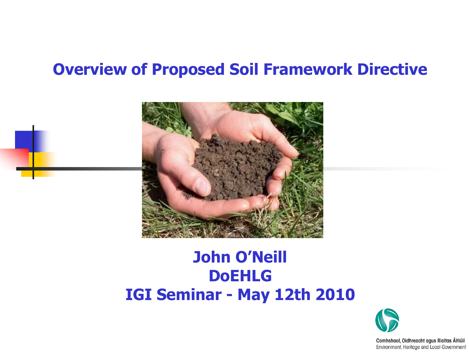#### **Overview of Proposed Soil Framework Directive**



#### **John O'Neill DoEHLG IGI Seminar - May 12th 2010**

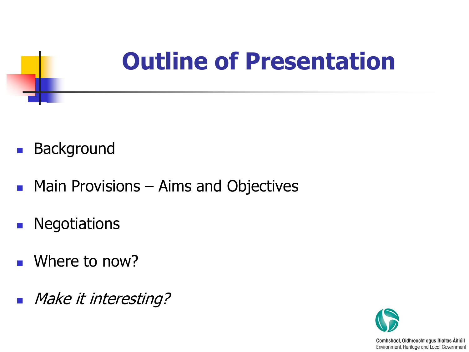### **Outline of Presentation**

- **Background**
- **Main Provisions Aims and Objectives**
- **Negotiations**
- Where to now?
- **Make it interesting?**

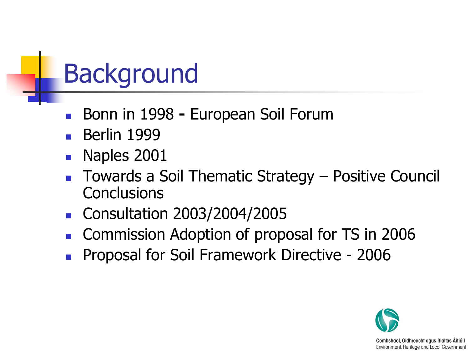### Background

- Bonn in 1998 **-** European Soil Forum
- Berlin 1999
- Naples 2001
- Towards a Soil Thematic Strategy Positive Council **Conclusions**
- **Consultation 2003/2004/2005**
- Commission Adoption of proposal for TS in 2006
- Proposal for Soil Framework Directive 2006

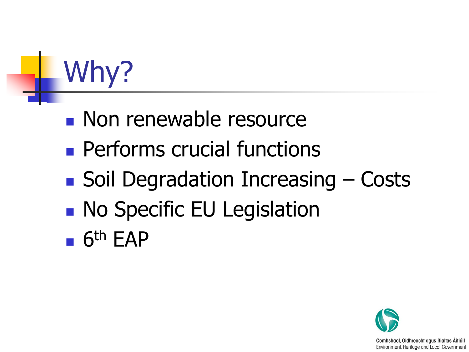# Why?

- **Non renewable resource**
- **Performs crucial functions**
- $\blacksquare$  Soil Degradation Increasing  $\lightharpoonup$  Costs
- **No Specific EU Legislation**
- $-6$ <sup>th</sup> EAP

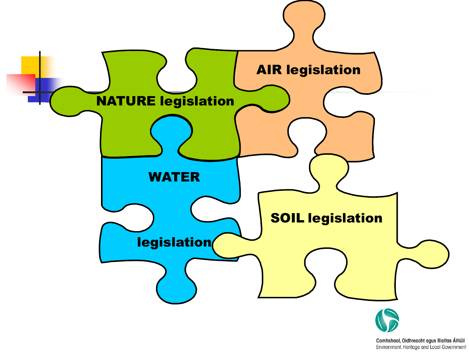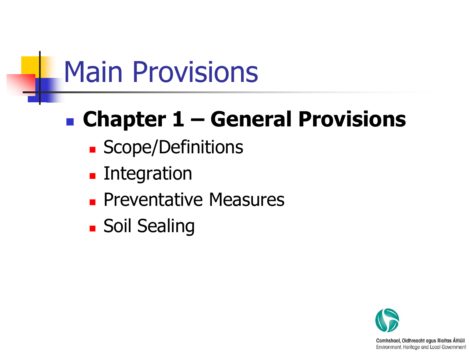## Main Provisions

#### **Chapter 1 – General Provisions**

- **Scope/Definitions**
- **Exercise:** Integration
- **Preventative Measures**
- **Soil Sealing**

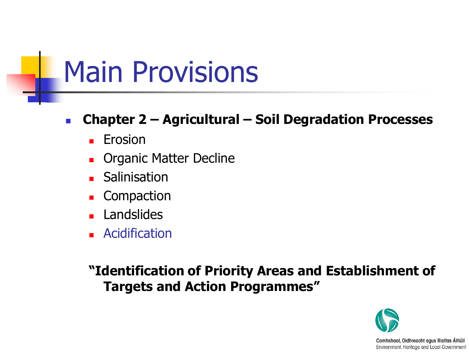### Main Provisions

#### **Chapter 2 – Agricultural – Soil Degradation Processes**

- $E$ Frosion
- **Diamic Matter Decline**
- **Salinisation**
- **Compaction**
- **Landslides**
- **Acidification**

**"Identification of Priority Areas and Establishment of Targets and Action Programmes"**

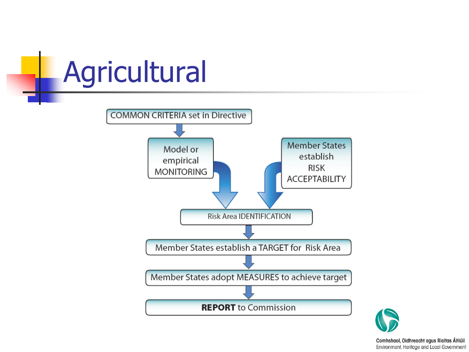# **Agricultural**

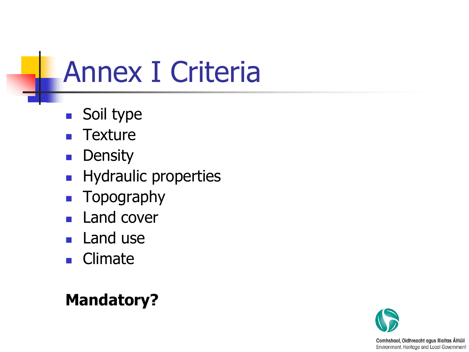# Annex I Criteria

- Soil type
- **Texture**
- **Density**
- **Hydraulic properties**
- **Topography**
- **Land cover**
- **Land use**
- **Climate**

#### **Mandatory?**

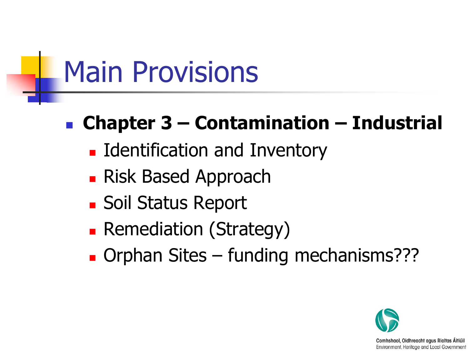# Main Provisions

#### **Chapter 3 – Contamination – Industrial**

- **Example 1 Identification and Inventory**
- **Risk Based Approach**
- **Soil Status Report**
- **Remediation (Strategy)**
- Orphan Sites funding mechanisms???

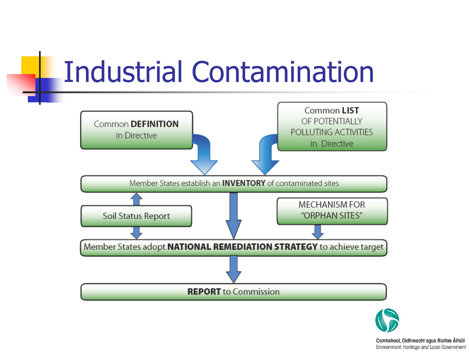### Industrial Contamination



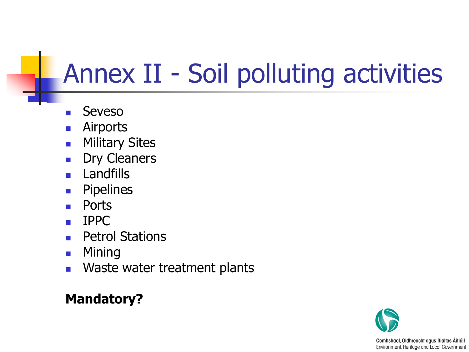### Annex II - Soil polluting activities

- Seveso
- Airports
- **Nilitary Sites**
- Dry Cleaners
- **Landfills**
- **Pipelines**
- Ports
- IPPC
- Petrol Stations
- **Mining**
- **NACTILE WASTER WASTER** Waste water treatment plants

#### **Mandatory?**

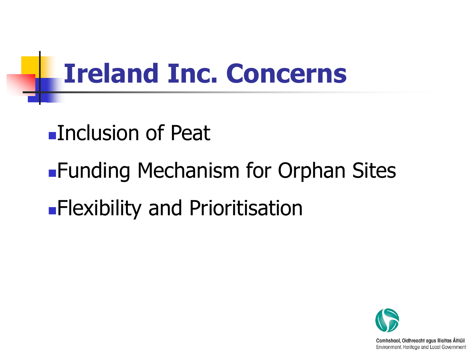### **Ireland Inc. Concerns**

#### Inclusion of Peat

**Funding Mechanism for Orphan Sites Flexibility and Prioritisation** 

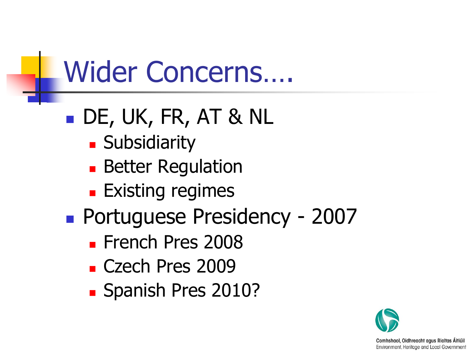# Wider Concerns….

#### DE, UK, FR, AT & NL

- **Subsidiarity**
- **Better Regulation**
- **Existing regimes**
- Portuguese Presidency 2007
	- **French Pres 2008**
	- **Czech Pres 2009**
	- **Spanish Pres 2010?**

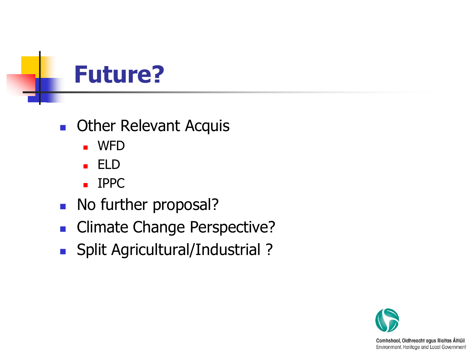

- **C** Other Relevant Acquis
	- WFD
	- ELD
	- **IPPC**
- No further proposal?
- **Climate Change Perspective?**
- Split Agricultural/Industrial ?